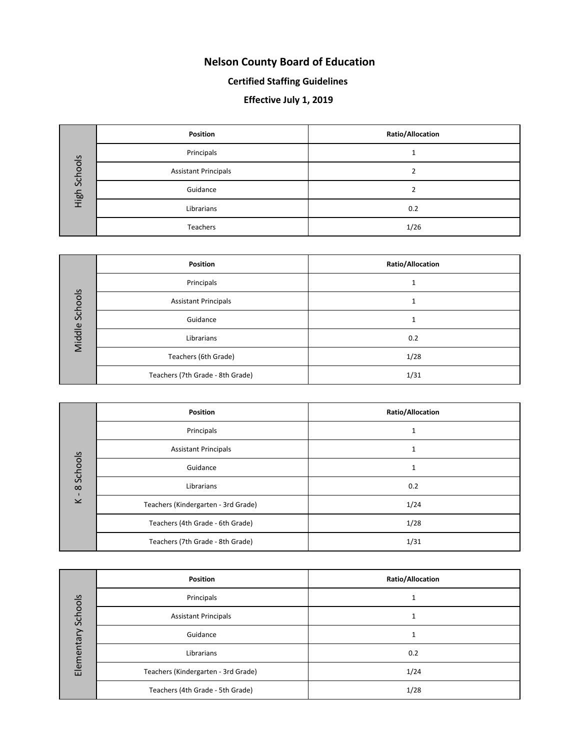#### **Nelson County Board of Education**

#### **Certified Staffing Guidelines**

#### **Effective July 1, 2019**

| Schools<br>High | Position                    | Ratio/Allocation |  |
|-----------------|-----------------------------|------------------|--|
|                 | Principals                  |                  |  |
|                 | <b>Assistant Principals</b> |                  |  |
|                 | Guidance                    |                  |  |
|                 | Librarians                  | 0.2              |  |
|                 | Teachers                    | 1/26             |  |

| Schools<br>Middle | <b>Position</b>                  | Ratio/Allocation |
|-------------------|----------------------------------|------------------|
|                   | Principals                       |                  |
|                   | <b>Assistant Principals</b>      |                  |
|                   | Guidance                         |                  |
|                   | Librarians                       | 0.2              |
|                   | Teachers (6th Grade)             | 1/28             |
|                   | Teachers (7th Grade - 8th Grade) | 1/31             |

| Schools<br>$\infty$<br>$\blacksquare$<br>$\geq$ | <b>Position</b>                     | Ratio/Allocation |
|-------------------------------------------------|-------------------------------------|------------------|
|                                                 | Principals                          |                  |
|                                                 | <b>Assistant Principals</b>         |                  |
|                                                 | Guidance                            |                  |
|                                                 | Librarians                          | 0.2              |
|                                                 | Teachers (Kindergarten - 3rd Grade) | 1/24             |
|                                                 | Teachers (4th Grade - 6th Grade)    | 1/28             |
|                                                 | Teachers (7th Grade - 8th Grade)    | 1/31             |

| Schools<br>Elementary | <b>Position</b>                     | Ratio/Allocation |
|-----------------------|-------------------------------------|------------------|
|                       | Principals                          |                  |
|                       | <b>Assistant Principals</b>         | ┸                |
|                       | Guidance                            |                  |
|                       | Librarians                          | 0.2              |
|                       | Teachers (Kindergarten - 3rd Grade) | 1/24             |
|                       | Teachers (4th Grade - 5th Grade)    | 1/28             |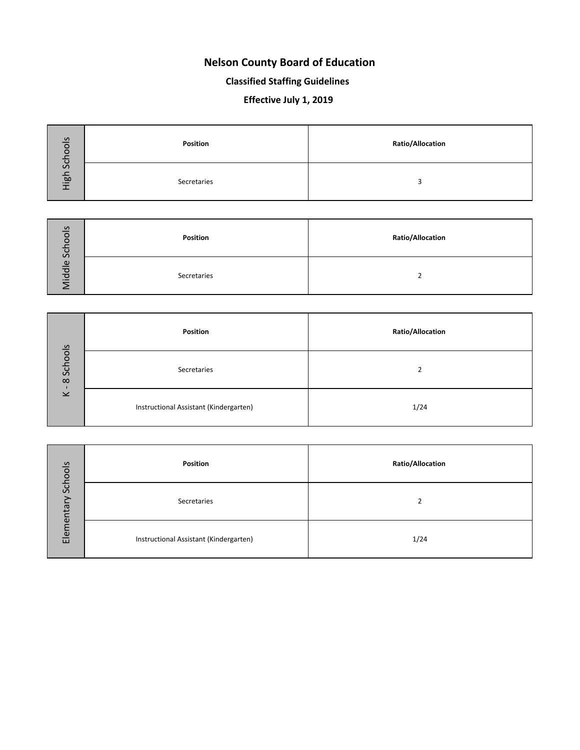#### **Nelson County Board of Education**

#### **Classified Staffing Guidelines**

#### **Effective July 1, 2019**

| Schools | Position    | <b>Ratio/Allocation</b> |
|---------|-------------|-------------------------|
| High    | Secretaries |                         |

| Schools<br>iddle | Position    | <b>Ratio/Allocation</b> |
|------------------|-------------|-------------------------|
|                  | Secretaries |                         |

| Schools<br>$\infty$<br>$\overline{\phantom{0}}$ | Position                               | <b>Ratio/Allocation</b>  |  |  |
|-------------------------------------------------|----------------------------------------|--------------------------|--|--|
|                                                 | Secretaries                            | $\overline{\phantom{a}}$ |  |  |
|                                                 | Instructional Assistant (Kindergarten) | 1/24                     |  |  |

| Schools<br>➢<br>Elementar | Position                               | <b>Ratio/Allocation</b> |  |  |
|---------------------------|----------------------------------------|-------------------------|--|--|
|                           | Secretaries                            |                         |  |  |
|                           | Instructional Assistant (Kindergarten) | 1/24                    |  |  |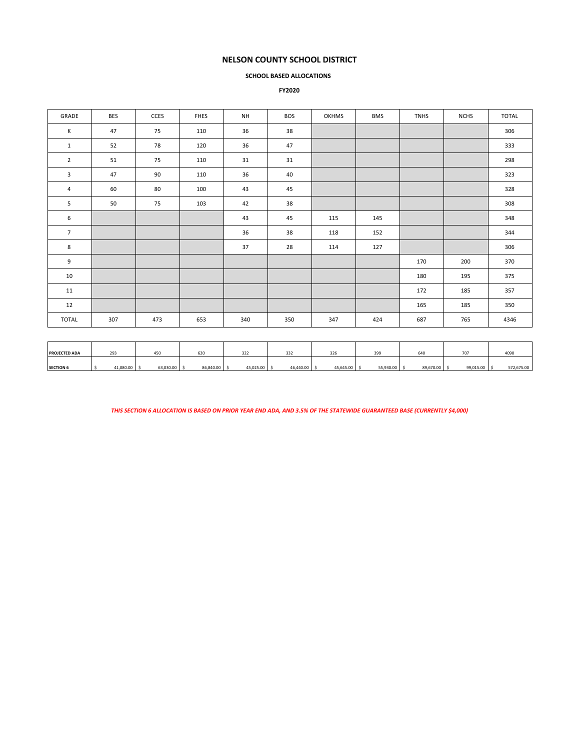#### **NELSON COUNTY SCHOOL DISTRICT**

#### **SCHOOL BASED ALLOCATIONS**

#### **FY2020**

| GRADE           | <b>BES</b> | <b>CCES</b> | <b>FHES</b> | <b>NH</b> | <b>BOS</b> | <b>OKHMS</b> | <b>BMS</b> | <b>TNHS</b> | <b>NCHS</b> | <b>TOTAL</b> |
|-----------------|------------|-------------|-------------|-----------|------------|--------------|------------|-------------|-------------|--------------|
| $\mathsf{K}$    | 47         | 75          | 110         | 36        | 38         |              |            |             |             | 306          |
| $\mathbf{1}$    | 52         | 78          | 120         | 36        | 47         |              |            |             |             | 333          |
| $\overline{2}$  | 51         | 75          | 110         | 31        | 31         |              |            |             |             | 298          |
| 3               | 47         | 90          | 110         | 36        | 40         |              |            |             |             | 323          |
| $\overline{4}$  | 60         | 80          | 100         | 43        | 45         |              |            |             |             | 328          |
| 5               | 50         | 75          | 103         | 42        | 38         |              |            |             |             | 308          |
| 6               |            |             |             | 43        | 45         | 115          | 145        |             |             | 348          |
| $7\overline{ }$ |            |             |             | 36        | 38         | 118          | 152        |             |             | 344          |
| 8               |            |             |             | 37        | 28         | 114          | 127        |             |             | 306          |
| 9               |            |             |             |           |            |              |            | 170         | 200         | 370          |
| 10              |            |             |             |           |            |              |            | 180         | 195         | 375          |
| 11              |            |             |             |           |            |              |            | 172         | 185         | 357          |
| 12              |            |             |             |           |            |              |            | 165         | 185         | 350          |
| TOTAL           | 307        | 473         | 653         | 340       | 350        | 347          | 424        | 687         | 765         | 4346         |
|                 |            |             |             |           |            |              |            |             |             |              |
|                 |            |             |             |           |            |              |            |             |             |              |

*THIS SECTION 6 ALLOCATION IS BASED ON PRIOR YEAR END ADA, AND 3.5% OF THE STATEWIDE GUARANTEED BASE (CURRENTLY \$4,000)*

**PROJECTED ADA | 293 | 450 | 620 | 322 | 332 | 326 | 399 | 640 | 707 | 4090 SECTION 6** │ \$ 41,080.00 │ \$ 65,840.00 │ \$ 45,025.00 │ \$ 45,440.00 │ \$ 55,543.00 │ \$ 572,675.00 │ \$ 572,675.00 │ \$ 572,675.00 │ \$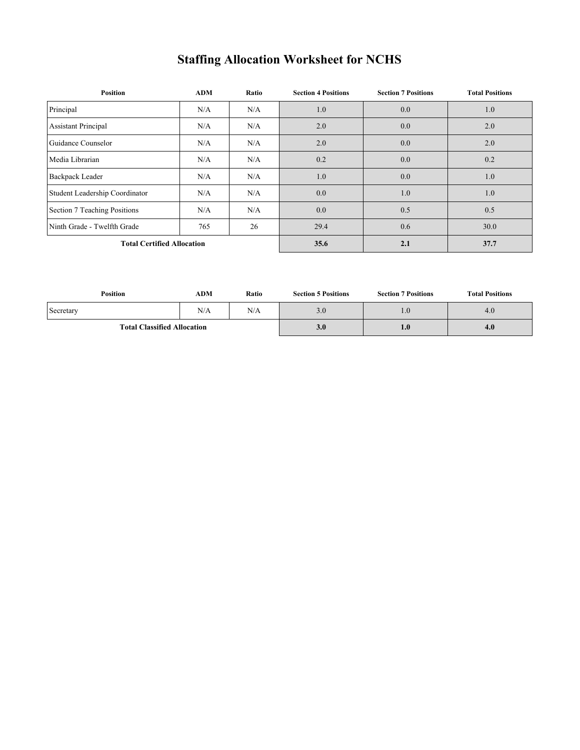## **Staffing Allocation Worksheet for NCHS**

| <b>Position</b>                   | <b>ADM</b> | Ratio | <b>Section 4 Positions</b> | <b>Section 7 Positions</b> | <b>Total Positions</b> |
|-----------------------------------|------------|-------|----------------------------|----------------------------|------------------------|
| Principal                         | N/A        | N/A   | 1.0                        | 0.0                        | 1.0                    |
| <b>Assistant Principal</b>        | N/A        | N/A   | 2.0                        | 0.0                        | 2.0                    |
| Guidance Counselor                | N/A        | N/A   | 2.0                        | 0.0                        | 2.0                    |
| Media Librarian                   | N/A        | N/A   | 0.2                        | 0.0                        | 0.2                    |
| <b>Backpack Leader</b>            | N/A        | N/A   | 1.0                        | 0.0                        | 1.0                    |
| Student Leadership Coordinator    | N/A        | N/A   | 0.0                        | 1.0                        | 1.0                    |
| Section 7 Teaching Positions      | N/A        | N/A   | 0.0                        | 0.5                        | 0.5                    |
| Ninth Grade - Twelfth Grade       | 765        | 26    | 29.4                       | 0.6                        | 30.0                   |
| <b>Total Certified Allocation</b> |            | 35.6  | 2.1                        | 37.7                       |                        |

| Position                           | ADM | Ratio<br><b>Section 5 Positions</b> |     | <b>Section 7 Positions</b> | <b>Total Positions</b> |  |
|------------------------------------|-----|-------------------------------------|-----|----------------------------|------------------------|--|
| Secretary                          | N/A | N/A                                 | 3.0 | $1.0^{\circ}$              | 4.0                    |  |
| <b>Total Classified Allocation</b> |     |                                     | 3.0 | 1.0                        | 4.0                    |  |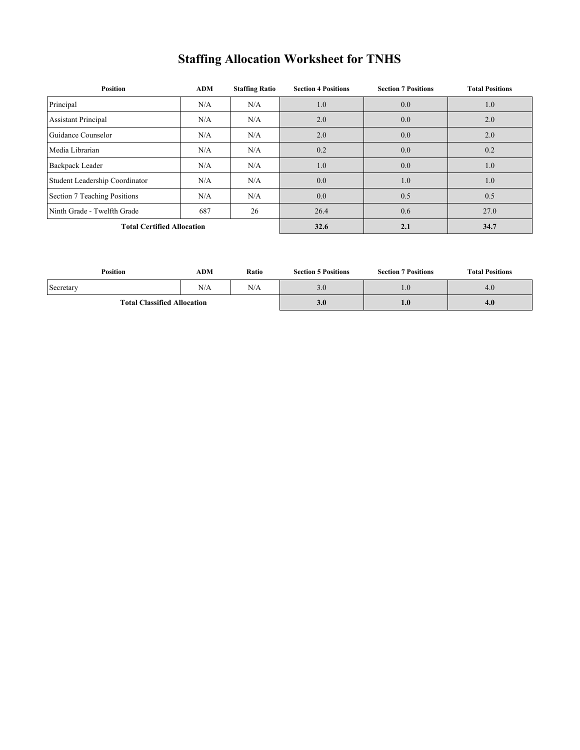# **Staffing Allocation Worksheet for TNHS**

| <b>Position</b>                          | <b>ADM</b> | <b>Staffing Ratio</b> | <b>Section 4 Positions</b> | <b>Section 7 Positions</b> | <b>Total Positions</b> |
|------------------------------------------|------------|-----------------------|----------------------------|----------------------------|------------------------|
| Principal                                | N/A        | N/A                   | 1.0                        | 0.0                        | 1.0                    |
| <b>Assistant Principal</b>               | N/A        | N/A                   | 2.0                        | 0.0                        | 2.0                    |
| Guidance Counselor                       | N/A        | N/A                   | 2.0                        | 0.0                        | 2.0                    |
| Media Librarian                          | N/A        | N/A                   | 0.2                        | 0.0                        | 0.2                    |
| <b>Backpack Leader</b>                   | N/A        | N/A                   | 1.0                        | 0.0                        | 1.0                    |
| Student Leadership Coordinator           | N/A        | N/A                   | 0.0                        | 1.0                        | 1.0                    |
| Section 7 Teaching Positions             | N/A        | N/A                   | 0.0                        | 0.5                        | 0.5                    |
| Ninth Grade - Twelfth Grade<br>687<br>26 |            |                       | 26.4                       | 0.6                        | 27.0                   |
| <b>Total Certified Allocation</b>        |            | 32.6                  | 2.1                        | 34.7                       |                        |

| Position                           | ADM | Ratio | <b>Section 5 Positions</b> | <b>Section 7 Positions</b> | <b>Total Positions</b> |
|------------------------------------|-----|-------|----------------------------|----------------------------|------------------------|
| Secretary                          | N/A | N/A   | $3.0\,$                    | $4.0^{-}$                  | 4.0                    |
| <b>Total Classified Allocation</b> |     |       | 3.0                        | $4.0^\circ$                | 4.0                    |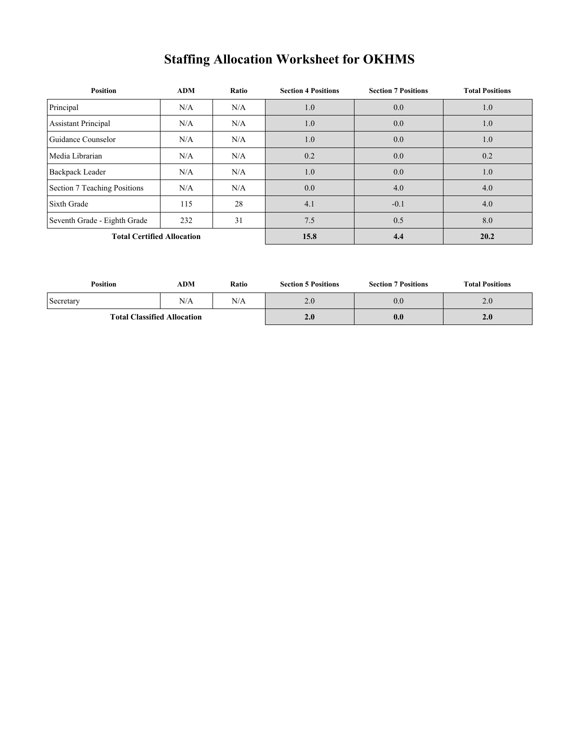# **Staffing Allocation Worksheet for OKHMS**

| <b>Position</b>                   | <b>ADM</b> | Ratio | <b>Section 4 Positions</b> | <b>Section 7 Positions</b> | <b>Total Positions</b> |
|-----------------------------------|------------|-------|----------------------------|----------------------------|------------------------|
| Principal                         | N/A        | N/A   | 1.0                        | 0.0                        | 1.0                    |
| <b>Assistant Principal</b>        | N/A        | N/A   | 1.0                        | 0.0                        | 1.0                    |
| Guidance Counselor                | N/A        | N/A   | 1.0                        | 0.0                        | 1.0                    |
| Media Librarian                   | N/A        | N/A   | 0.2                        | 0.0                        | 0.2                    |
| <b>Backpack Leader</b>            | N/A        | N/A   | 1.0                        | 0.0                        | 1.0                    |
| Section 7 Teaching Positions      | N/A        | N/A   | 0.0                        | 4.0                        | 4.0                    |
| Sixth Grade                       | 115        | 28    | 4.1                        | $-0.1$                     | 4.0                    |
| Seventh Grade - Eighth Grade      | 232        | 31    | 7.5                        | 0.5                        | 8.0                    |
| <b>Total Certified Allocation</b> |            |       | 15.8                       | 4.4                        | 20.2                   |

| <b>Position</b>                    | ADM | Ratio | <b>Section 5 Positions</b> | <b>Section 7 Positions</b> | <b>Total Positions</b> |
|------------------------------------|-----|-------|----------------------------|----------------------------|------------------------|
| Secretary                          | N/A | N/A   | 2.0                        | 0.0                        | 2.0                    |
| <b>Total Classified Allocation</b> |     |       | 2.0                        | 0.0                        | 2.0                    |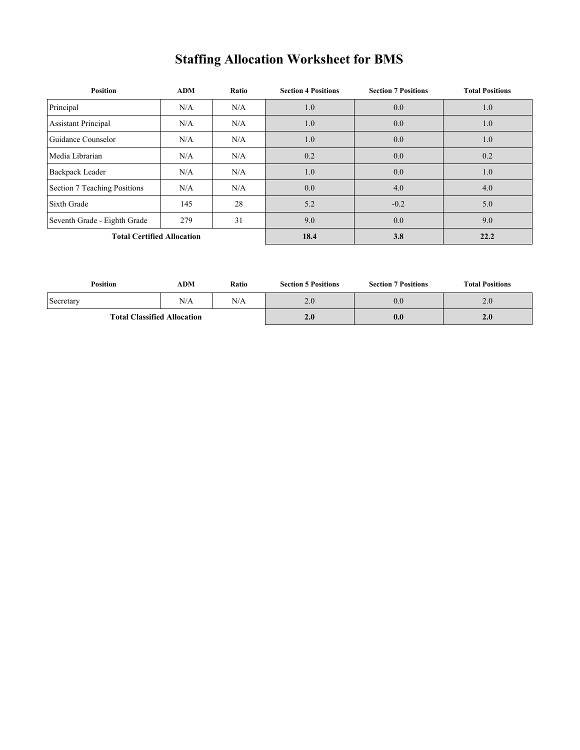# **Staffing Allocation Worksheet for BMS**

| <b>Position</b>                   | <b>ADM</b> | Ratio | <b>Section 4 Positions</b> | <b>Section 7 Positions</b> | <b>Total Positions</b> |
|-----------------------------------|------------|-------|----------------------------|----------------------------|------------------------|
| Principal                         | N/A        | N/A   | 1.0                        | 0.0                        | 1.0                    |
| <b>Assistant Principal</b>        | N/A        | N/A   | 1.0                        | 0.0                        | 1.0                    |
| Guidance Counselor                | N/A        | N/A   | 1.0                        | 0.0                        | 1.0                    |
| Media Librarian                   | N/A        | N/A   | 0.2                        | 0.0                        | 0.2                    |
| <b>Backpack Leader</b>            | N/A        | N/A   | 1.0                        | 0.0                        | 1.0                    |
| Section 7 Teaching Positions      | N/A        | N/A   | 0.0                        | 4.0                        | 4.0                    |
| Sixth Grade                       | 145        | 28    | 5.2                        | $-0.2$                     | 5.0                    |
| Seventh Grade - Eighth Grade      | 279        | 31    | 9.0                        | 0.0                        | 9.0                    |
| <b>Total Certified Allocation</b> |            |       | 18.4                       | 3.8                        | 22.2                   |

| <b>Position</b>                    | ADM | Ratio | <b>Section 5 Positions</b> | <b>Section 7 Positions</b> | <b>Total Positions</b> |
|------------------------------------|-----|-------|----------------------------|----------------------------|------------------------|
| Secretary                          | N/A | N/A   | 2.0                        | 0.0                        | 2.0                    |
| <b>Total Classified Allocation</b> |     |       | 2.0                        | 0.0                        | 2.0                    |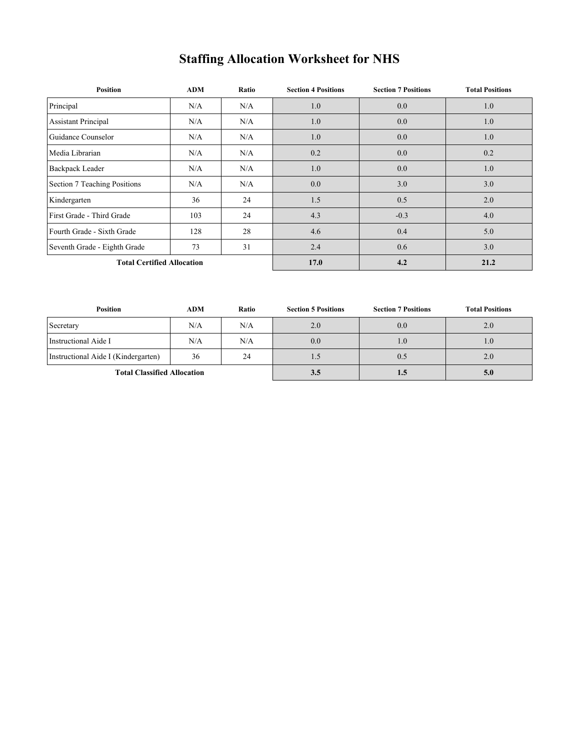## **Staffing Allocation Worksheet for NHS**

| Position                          | <b>ADM</b> | Ratio | <b>Section 4 Positions</b> | <b>Section 7 Positions</b> | <b>Total Positions</b> |
|-----------------------------------|------------|-------|----------------------------|----------------------------|------------------------|
| Principal                         | N/A        | N/A   | 1.0                        | 0.0                        | 1.0                    |
| <b>Assistant Principal</b>        | N/A        | N/A   | 1.0                        | 0.0                        | 1.0                    |
| Guidance Counselor                | N/A        | N/A   | 1.0                        | 0.0                        | 1.0                    |
| Media Librarian                   | N/A        | N/A   | 0.2                        | 0.0                        | 0.2                    |
| <b>Backpack Leader</b>            | N/A        | N/A   | 1.0                        | 0.0                        | 1.0                    |
| Section 7 Teaching Positions      | N/A        | N/A   | 0.0                        | 3.0                        | 3.0                    |
| Kindergarten                      | 36         | 24    | 1.5                        | 0.5                        | 2.0                    |
| First Grade - Third Grade         | 103        | 24    | 4.3                        | $-0.3$                     | 4.0                    |
| Fourth Grade - Sixth Grade        | 128        | 28    | 4.6                        | 0.4                        | 5.0                    |
| Seventh Grade - Eighth Grade      | 73         | 31    | 2.4                        | 0.6                        | 3.0                    |
| <b>Total Certified Allocation</b> |            |       | 17.0                       | 4.2                        | 21.2                   |

| Position                            | <b>ADM</b> | <b>Ratio</b> | <b>Section 5 Positions</b> | <b>Section 7 Positions</b> | <b>Total Positions</b> |
|-------------------------------------|------------|--------------|----------------------------|----------------------------|------------------------|
| Secretary                           | N/A        | N/A          | 2.0                        | 0.0                        | 2.0                    |
| Instructional Aide I                | N/A        | N/A          | 0.0                        | 1.0                        | 1.0                    |
| Instructional Aide I (Kindergarten) | 36         | 24           |                            | 0.5                        | 2.0                    |
| <b>Total Classified Allocation</b>  |            |              | 3.5                        | 1.5                        | 5.0                    |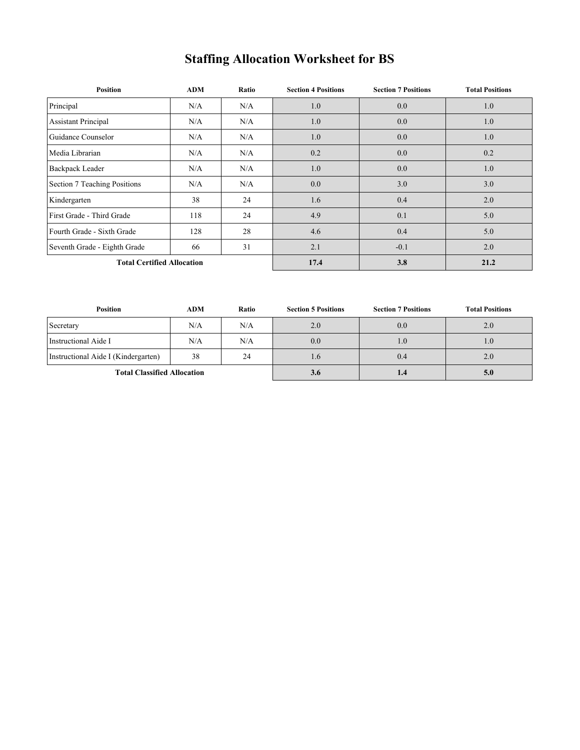## **Staffing Allocation Worksheet for BS**

| <b>Position</b>              | ADM                               | Ratio | <b>Section 4 Positions</b> | <b>Section 7 Positions</b> | <b>Total Positions</b> |
|------------------------------|-----------------------------------|-------|----------------------------|----------------------------|------------------------|
| Principal                    | N/A                               | N/A   | 1.0                        | 0.0                        | 1.0                    |
| <b>Assistant Principal</b>   | N/A                               | N/A   | 1.0                        | 0.0                        | 1.0                    |
| Guidance Counselor           | N/A                               | N/A   | 1.0                        | 0.0                        | 1.0                    |
| Media Librarian              | N/A                               | N/A   | 0.2                        | 0.0                        | 0.2                    |
| <b>Backpack Leader</b>       | N/A                               | N/A   | 1.0                        | 0.0                        | 1.0                    |
| Section 7 Teaching Positions | N/A                               | N/A   | 0.0                        | 3.0                        | 3.0                    |
| Kindergarten                 | 38                                | 24    | 1.6                        | 0.4                        | 2.0                    |
| First Grade - Third Grade    | 118                               | 24    | 4.9                        | 0.1                        | 5.0                    |
| Fourth Grade - Sixth Grade   | 128                               | 28    | 4.6                        | 0.4                        | 5.0                    |
| Seventh Grade - Eighth Grade | 66                                | 31    | 2.1                        | $-0.1$                     | 2.0                    |
|                              | <b>Total Certified Allocation</b> |       |                            | 3.8                        | 21.2                   |

| Position                            | <b>ADM</b> | <b>Ratio</b> | <b>Section 5 Positions</b> | <b>Section 7 Positions</b> | <b>Total Positions</b> |
|-------------------------------------|------------|--------------|----------------------------|----------------------------|------------------------|
| Secretary                           | N/A        | N/A          | 2.0                        | 0.0                        | 2.0                    |
| Instructional Aide I                | N/A        | N/A          | 0.0                        | 1.0                        | 1.0                    |
| Instructional Aide I (Kindergarten) | 38         | 24           | 1.6                        | 0.4                        | 2.0                    |
| <b>Total Classified Allocation</b>  |            |              | 3.6                        | 1.4                        | 5.0                    |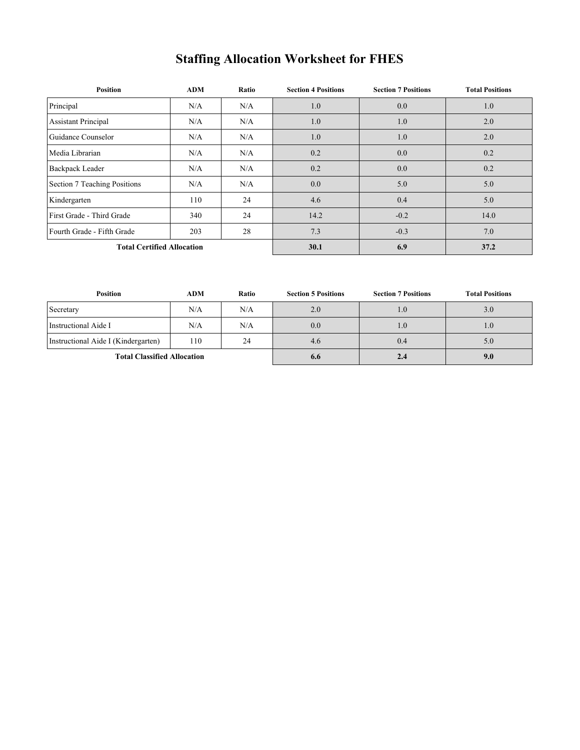## **Staffing Allocation Worksheet for FHES**

| <b>Position</b>                   | ADM | Ratio | <b>Section 4 Positions</b> | <b>Section 7 Positions</b> | <b>Total Positions</b> |
|-----------------------------------|-----|-------|----------------------------|----------------------------|------------------------|
| Principal                         | N/A | N/A   | 1.0                        | 0.0                        | 1.0                    |
| <b>Assistant Principal</b>        | N/A | N/A   | 1.0                        | 1.0                        | 2.0                    |
| Guidance Counselor                | N/A | N/A   | 1.0                        | 1.0                        | 2.0                    |
| Media Librarian                   | N/A | N/A   | 0.2                        | 0.0                        | 0.2                    |
| <b>Backpack Leader</b>            | N/A | N/A   | 0.2                        | 0.0                        | 0.2                    |
| Section 7 Teaching Positions      | N/A | N/A   | 0.0                        | 5.0                        | 5.0                    |
| Kindergarten                      | 110 | 24    | 4.6                        | 0.4                        | 5.0                    |
| First Grade - Third Grade         | 340 | 24    | 14.2                       | $-0.2$                     | 14.0                   |
| Fourth Grade - Fifth Grade        | 203 | 28    | 7.3                        | $-0.3$                     | 7.0                    |
| <b>Total Certified Allocation</b> |     |       | 30.1                       | 6.9                        | 37.2                   |

| Position                            | <b>ADM</b> | Ratio | <b>Section 5 Positions</b> | <b>Section 7 Positions</b> | <b>Total Positions</b> |
|-------------------------------------|------------|-------|----------------------------|----------------------------|------------------------|
| Secretary                           | N/A        | N/A   | 2.0                        | 1.0                        | 3.0                    |
| Instructional Aide I                | N/A        | N/A   | 0.0                        | 1.0                        | 1.0                    |
| Instructional Aide I (Kindergarten) | 110        | 24    | 4.6                        | 0.4                        | 5.0                    |
| <b>Total Classified Allocation</b>  |            |       | 6.6                        | 2.4                        | 9.0                    |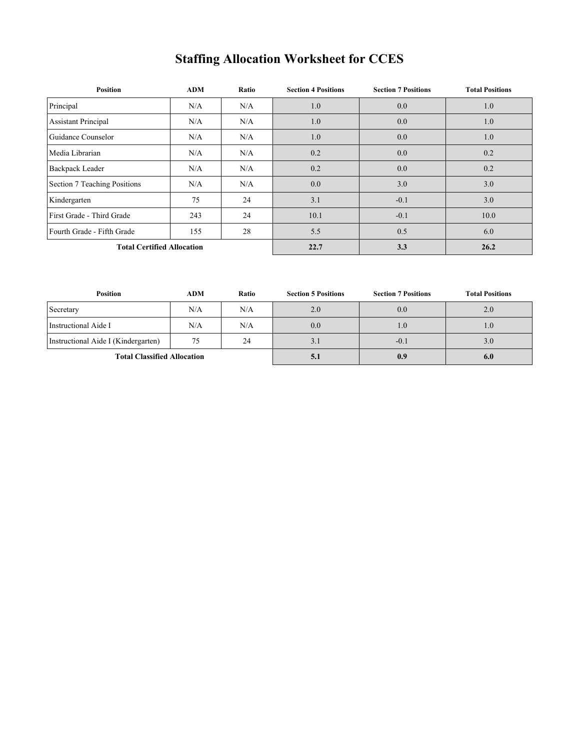## **Staffing Allocation Worksheet for CCES**

| <b>Position</b>                   | ADM | Ratio | <b>Section 4 Positions</b> | <b>Section 7 Positions</b> | <b>Total Positions</b> |
|-----------------------------------|-----|-------|----------------------------|----------------------------|------------------------|
| Principal                         | N/A | N/A   | 1.0                        | 0.0                        | 1.0                    |
| <b>Assistant Principal</b>        | N/A | N/A   | 1.0                        | 0.0                        | 1.0                    |
| Guidance Counselor                | N/A | N/A   | 1.0                        | 0.0                        | 1.0                    |
| Media Librarian                   | N/A | N/A   | 0.2                        | 0.0                        | 0.2                    |
| <b>Backpack Leader</b>            | N/A | N/A   | 0.2                        | 0.0                        | 0.2                    |
| Section 7 Teaching Positions      | N/A | N/A   | 0.0                        | 3.0                        | 3.0                    |
| Kindergarten                      | 75  | 24    | 3.1                        | $-0.1$                     | 3.0                    |
| First Grade - Third Grade         | 243 | 24    | 10.1                       | $-0.1$                     | 10.0                   |
| Fourth Grade - Fifth Grade        | 155 | 28    | 5.5                        | 0.5                        | 6.0                    |
| <b>Total Certified Allocation</b> |     |       | 22.7                       | 3.3                        | 26.2                   |

| <b>Position</b>                     | <b>ADM</b> | Ratio | <b>Section 5 Positions</b> | <b>Section 7 Positions</b> | <b>Total Positions</b> |
|-------------------------------------|------------|-------|----------------------------|----------------------------|------------------------|
| Secretary                           | N/A        | N/A   | 2.0                        | 0.0                        | 2.0                    |
| Instructional Aide I                | N/A        | N/A   | 0.0                        | 1.0                        | 1.0                    |
| Instructional Aide I (Kindergarten) | 75         | 24    | 3.1                        | $-0.1$                     | 3.0                    |
| <b>Total Classified Allocation</b>  |            |       | 5.1                        | 0.9                        | 6.0                    |